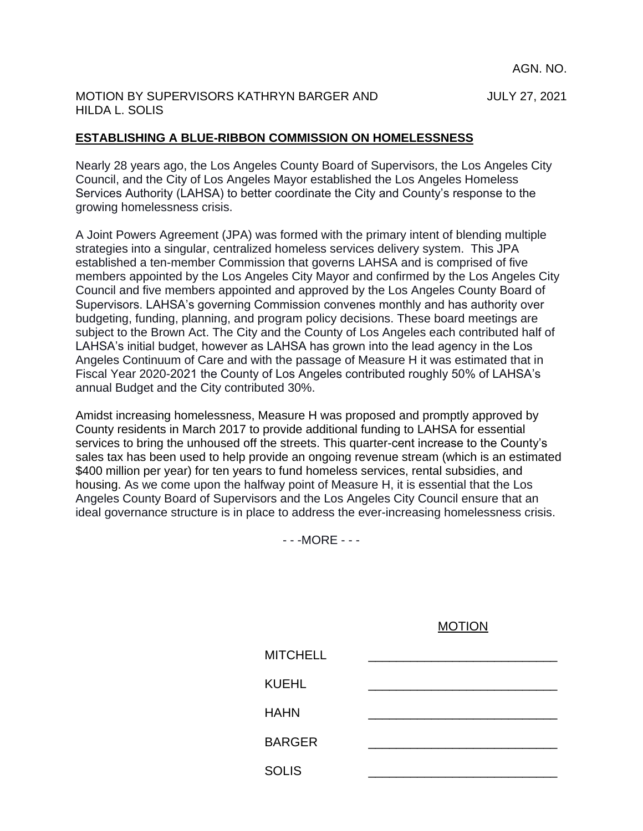AGN. NO.

#### MOTION BY SUPERVISORS KATHRYN BARGER AND JULY 27, 2021 HILDA L. SOLIS

## **ESTABLISHING A BLUE-RIBBON COMMISSION ON HOMELESSNESS**

Nearly 28 years ago, the Los Angeles County Board of Supervisors, the Los Angeles City Council, and the City of Los Angeles Mayor established the Los Angeles Homeless Services Authority (LAHSA) to better coordinate the City and County's response to the growing homelessness crisis.

A Joint Powers Agreement (JPA) was formed with the primary intent of blending multiple strategies into a singular, centralized homeless services delivery system. This JPA established a ten-member Commission that governs LAHSA and is comprised of five members appointed by the Los Angeles City Mayor and confirmed by the Los Angeles City Council and five members appointed and approved by the Los Angeles County Board of Supervisors. LAHSA's governing Commission convenes monthly and has authority over budgeting, funding, planning, and program policy decisions. These board meetings are subject to the Brown Act. The City and the County of Los Angeles each contributed half of LAHSA's initial budget, however as LAHSA has grown into the lead agency in the Los Angeles Continuum of Care and with the passage of Measure H it was estimated that in Fiscal Year 2020-2021 the County of Los Angeles contributed roughly 50% of LAHSA's annual Budget and the City contributed 30%.

Amidst increasing homelessness, Measure H was proposed and promptly approved by County residents in March 2017 to provide additional funding to LAHSA for essential services to bring the unhoused off the streets. This quarter-cent increase to the County's sales tax has been used to help provide an ongoing revenue stream (which is an estimated \$400 million per year) for ten years to fund homeless services, rental subsidies, and housing. As we come upon the halfway point of Measure H, it is essential that the Los Angeles County Board of Supervisors and the Los Angeles City Council ensure that an ideal governance structure is in place to address the ever-increasing homelessness crisis.

- - -MORE - - -

MOTION

| <b>MITCHELL</b> |  |
|-----------------|--|
| <b>KUEHL</b>    |  |
| <b>HAHN</b>     |  |
| <b>BARGER</b>   |  |
| <b>SOLIS</b>    |  |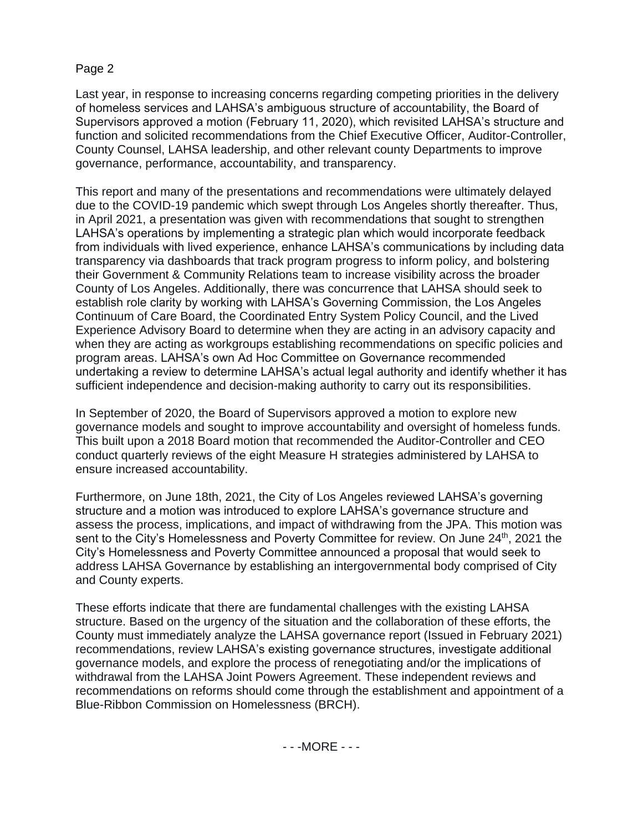### Page 2

Last year, in response to increasing concerns regarding competing priorities in the delivery of homeless services and LAHSA's ambiguous structure of accountability, the Board of Supervisors approved a motion (February 11, 2020), which revisited LAHSA's structure and function and solicited recommendations from the Chief Executive Officer, Auditor-Controller, County Counsel, LAHSA leadership, and other relevant county Departments to improve governance, performance, accountability, and transparency.

This report and many of the presentations and recommendations were ultimately delayed due to the COVID-19 pandemic which swept through Los Angeles shortly thereafter. Thus, in April 2021, a presentation was given with recommendations that sought to strengthen LAHSA's operations by implementing a strategic plan which would incorporate feedback from individuals with lived experience, enhance LAHSA's communications by including data transparency via dashboards that track program progress to inform policy, and bolstering their Government & Community Relations team to increase visibility across the broader County of Los Angeles. Additionally, there was concurrence that LAHSA should seek to establish role clarity by working with LAHSA's Governing Commission, the Los Angeles Continuum of Care Board, the Coordinated Entry System Policy Council, and the Lived Experience Advisory Board to determine when they are acting in an advisory capacity and when they are acting as workgroups establishing recommendations on specific policies and program areas. LAHSA's own Ad Hoc Committee on Governance recommended undertaking a review to determine LAHSA's actual legal authority and identify whether it has sufficient independence and decision-making authority to carry out its responsibilities.

In September of 2020, the Board of Supervisors approved a motion to explore new governance models and sought to improve accountability and oversight of homeless funds. This built upon a 2018 Board motion that recommended the Auditor-Controller and CEO conduct quarterly reviews of the eight Measure H strategies administered by LAHSA to ensure increased accountability.

Furthermore, on June 18th, 2021, the City of Los Angeles reviewed LAHSA's governing structure and a motion was introduced to explore LAHSA's governance structure and assess the process, implications, and impact of withdrawing from the JPA. This motion was sent to the City's Homelessness and Poverty Committee for review. On June 24<sup>th</sup>, 2021 the City's Homelessness and Poverty Committee announced a proposal that would seek to address LAHSA Governance by establishing an intergovernmental body comprised of City and County experts.

These efforts indicate that there are fundamental challenges with the existing LAHSA structure. Based on the urgency of the situation and the collaboration of these efforts, the County must immediately analyze the LAHSA governance report (Issued in February 2021) recommendations, review LAHSA's existing governance structures, investigate additional governance models, and explore the process of renegotiating and/or the implications of withdrawal from the LAHSA Joint Powers Agreement. These independent reviews and recommendations on reforms should come through the establishment and appointment of a Blue-Ribbon Commission on Homelessness (BRCH).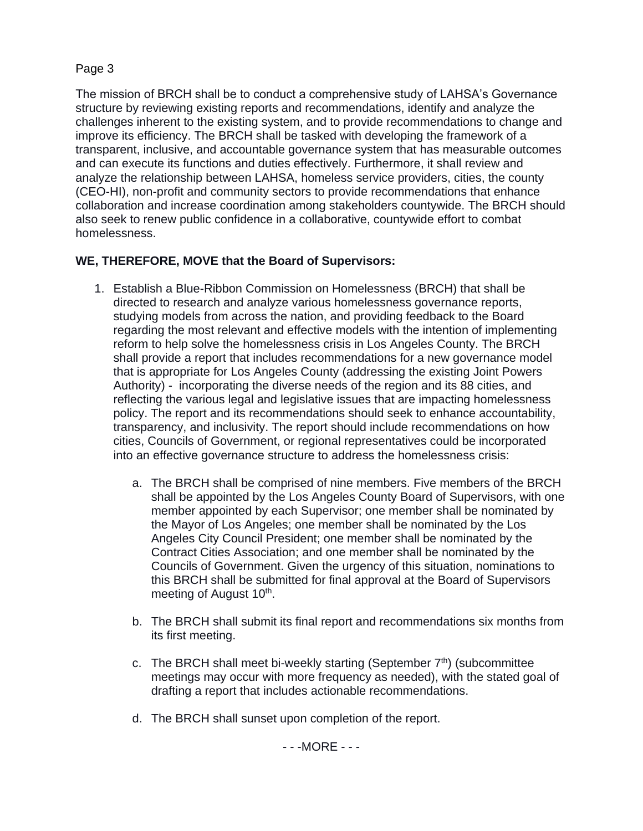### Page 3

The mission of BRCH shall be to conduct a comprehensive study of LAHSA's Governance structure by reviewing existing reports and recommendations, identify and analyze the challenges inherent to the existing system, and to provide recommendations to change and improve its efficiency. The BRCH shall be tasked with developing the framework of a transparent, inclusive, and accountable governance system that has measurable outcomes and can execute its functions and duties effectively. Furthermore, it shall review and analyze the relationship between LAHSA, homeless service providers, cities, the county (CEO-HI), non-profit and community sectors to provide recommendations that enhance collaboration and increase coordination among stakeholders countywide. The BRCH should also seek to renew public confidence in a collaborative, countywide effort to combat homelessness.

# **WE, THEREFORE, MOVE that the Board of Supervisors:**

- 1. Establish a Blue-Ribbon Commission on Homelessness (BRCH) that shall be directed to research and analyze various homelessness governance reports, studying models from across the nation, and providing feedback to the Board regarding the most relevant and effective models with the intention of implementing reform to help solve the homelessness crisis in Los Angeles County. The BRCH shall provide a report that includes recommendations for a new governance model that is appropriate for Los Angeles County (addressing the existing Joint Powers Authority) - incorporating the diverse needs of the region and its 88 cities, and reflecting the various legal and legislative issues that are impacting homelessness policy. The report and its recommendations should seek to enhance accountability, transparency, and inclusivity. The report should include recommendations on how cities, Councils of Government, or regional representatives could be incorporated into an effective governance structure to address the homelessness crisis:
	- a. The BRCH shall be comprised of nine members. Five members of the BRCH shall be appointed by the Los Angeles County Board of Supervisors, with one member appointed by each Supervisor; one member shall be nominated by the Mayor of Los Angeles; one member shall be nominated by the Los Angeles City Council President; one member shall be nominated by the Contract Cities Association; and one member shall be nominated by the Councils of Government. Given the urgency of this situation, nominations to this BRCH shall be submitted for final approval at the Board of Supervisors meeting of August 10<sup>th</sup>.
	- b. The BRCH shall submit its final report and recommendations six months from its first meeting.
	- c. The BRCH shall meet bi-weekly starting (September  $7<sup>th</sup>$ ) (subcommittee meetings may occur with more frequency as needed), with the stated goal of drafting a report that includes actionable recommendations.
	- d. The BRCH shall sunset upon completion of the report.